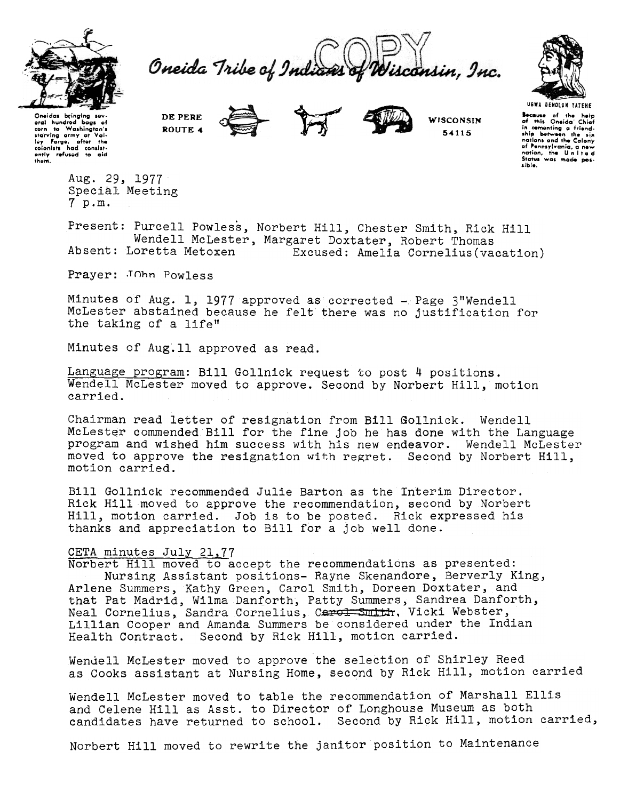

Oneida Tribe of Indian isconsin, Inc.



USWA DEHOLUH YATEHE **\*\*** of the help<br>of this Oneida Chief<br>in cementing a friend.<br>ship between the six anip <del>permedit</del>ion.<br>Inations and the Colony of Pennsylvania, a new<br>nation, the United<br>States was made possible.

Oneidas bringing sev.<br>
arai hundred bogs of<br>
starving army at Val.<br>
New Forge, offer the eral hundred bags of<br>corn to Washington's<br>starving army at Val-<br>loy forge, after the<br>colonists had consist-<br>ently refused to aid<br>thom,

ROUTE 4

DE PERE

**WISCONSIN** 5-4115

Aug. 29, 1977 Special Meeting 7 p.m.

Present: Purcell Powless, Norbert Hill, Chester Smith, Rick Hill Wendell McLester, Margaret Doxtater, Robert Thomas<br>Absent: Loretta Metoxen Excused: Amelia Cornelius(va Excused: Amelia Cornelius(vacation)

Prayer: JOhn Powless

Minutes of Aug. 1, 1977 approved as corrected - Page 3"Wendell McLester abstained because he felt there was no justification for the taking of a life"

Minutes of Aug.ll approved as read.

Language program: Bill Gollnick request to post 4 positions. Wendell McLester moved to approve. Second by Norbert Hill, motion carried.

Chairman read letter of resignation from Bill Sollnick. Wendell McLester commended Bill for the fine job he has done with the Language program and wished him success with his new endeavor. Wendell McLester moved to approve the resignation with regret. Second by Norbert Hill, motion carried.

Bill Gollnick recommended Julie Barton as the Interim Director. Rick Hill moved to approve the recommendation, second by Norbert Hill, motion carried. Job is to be posted. Rick expressed his thanks and appreciation to Bill for a Job well done.

# CETA minutes July 21,77

Norbert Hill moved to accept the recommendations as presented: Nursing Assistant positions- Rayne Skenandore, Berverly King, Arlene Summers, Kathy Green, Carol Smith, Doreen Doxtater, and that Pat Madrid, Wilma Danforth, Patty Summers, Sandrea Danforth, Neal Cornelius, Sandra Cornelius, Carol Suith, Vicki Webster, Lillian Cooper and Amanda Summers be considered under the Indian Health Contract. Second by Rick Hill, motion carried.

Wendell McLester moved to approve the selection of Shirley Reed as Cooks assistant at Nursing Home, second by Rick Hill, motion carried

Wendell McLester moved to table the recommendation of Marshall Ellis and Celene Hill as Asst. to Director of Longhouse Museum as both candidates have returned to school. Second by Rick Hill, motion carried,

Norbert Hill moved to rewrite the janitor position to Maintenance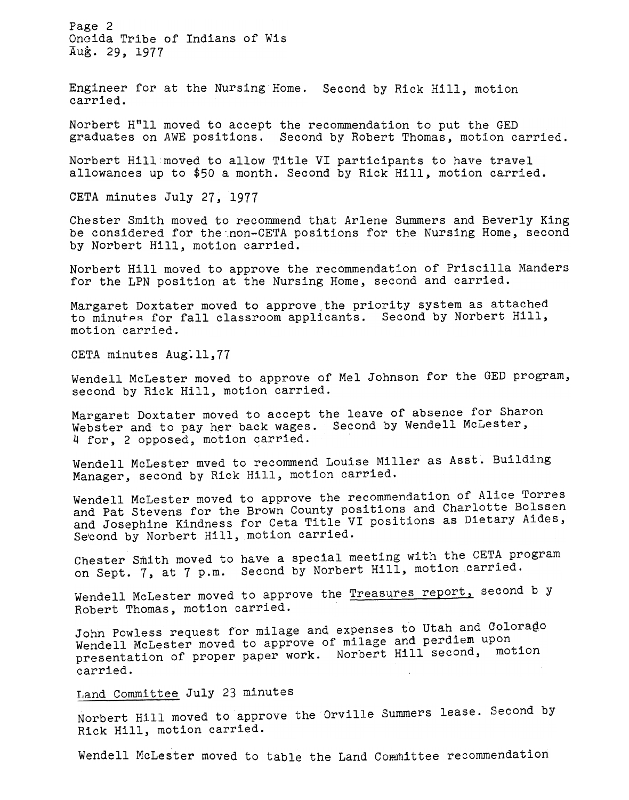Page 2 Oncida Tribe of Indians of Wis Aug. 29, 1977

Engineer for at the Nursing Home. Second by Rick Hill, motio carried.

Norbert H"ll moved to accept the recommendation to put the GED graduates on AWE positions. Second by Robert Thomas, motion carried.

Norbert Hill moved to allow Title VI participants to have travel allowances up to \$50 a month. Second by Rick Hill, motion carried.

CETA minutes July 27, 1977

Chester Smith moved to recommend that Arlene Summers and Beverly King be considered for the non-CETA positions for the Nursing Home, second by Norbert Hill, motion carried.

Norbert Hill moved to approve the recommendation of Priscilla Manders for the LPN position at the Nursing Home, second and carried.

Margaret Doxtater moved to approve the priority system as attached to minutes for fall classroom applicants. Second by Norbert Hill, motion carried.

CETA minutes Aug:ll,77

Wendell McLester moved to approve of Mel Johnson for the GED program, second by Rick Hill, motion carried.

Margaret Doxtater moved to accept the leave of absence for Sharon Webster and to pay her back wages. Second by Wendell McLester, 4 for, 2 opposed, motion carried.

Wendell McLester mved to recommend Louise Miller as Asst. Building Manager, second by Rick Hill, motion carried.

Wendell McLester moved to approve the recommendation of Alice Torres and Pat Stevens for the Brown County positions and Charlotte Bolssen and Josephine Kindness for Ceta Title VI positions as Dietary Aides, Se'cond by Norbert Hill, motion carried.

Chester Smith moved to have a special meeting with the CETA program on Sept. 7, at 7 p.m. Second by Norbert Hill, motion carried.

Wendell McLester moved to approve the **Treasures report**, second b y Robert Thomas, motion carried.

John Powless request for milage and expenses to Utah and Colorago Wendell McLester moved to approve of milage and perdiem upon presentation of proper paper work. Norbert Hill second, motion carried.

Land Committee July 23 minutes

Norbert Hill moved to approve the Orville Summers lease. Second by Rick Hill, motion carried.

Wendell McLester moved to table the Land Committee recommendation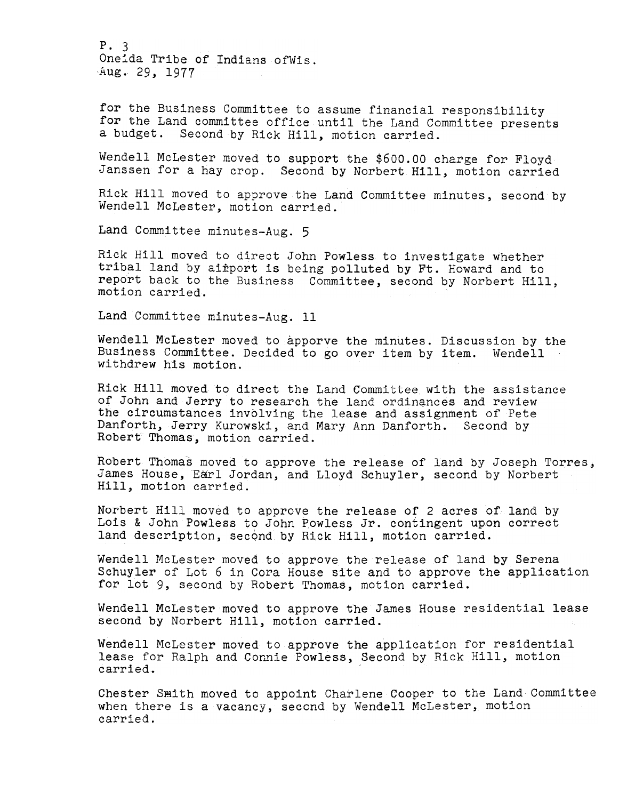P. 3 Oneida Tribe of Indians of Wis. Aug. 29, 1977

for the Business Committee to assume financial responsibility for the Land committee office until the Land Committee presents a budget. Second by Rick Hill, motion carried.

Wendell McLester moved to support the \$600.00 charge for Floyd Janssen for a hay crop. Second by Norbert Hill, motion carried

Rick Hill moved to approve the Land Committee minutes, second by Wendell McLester, motion carried.

Land Committee minutes-Aug. 5

Rick Hill moved to direct John Powless to investigate whether tribal land by airport is being polluted by Ft. Howard and to report back to the Business Committee, second by Norbert Hill, motion carried.

Land Committee minutes-Aug.. 11

Wendell McLester moved to apporve the minutes. Discussion by the Business Committee. Decided to go over item by item. Wendell withdrew his motion.

Rick Hill moved to direct the Land Committee with the assistance of John and Jerry to research the land ordinances and review the circumstances involving the lease and assignment of Pete Danforth, Jerry Kurowski, and Mary Ann Danforth. Second by Robert Thomas, motion carried.

Robert Thomas moved to approve the release of land by Joseph Torres, James House, Earl Jordan, and Lloyd Schuyler, second by Norbert Hill, motion carried.

Norbert Hill moved to approve the release of 2 acres of land by Lois & John Powless to John Powless Jr. contingent upon correct land description, second by Rick Hill, motion carried.

Wendell McLester moved to approve the release of land by Serena Schuyler of Lot 6 in Cora House site and to approve the application for lot 9, second by Robert Thomas, motion carried.

Wendell McLester moved to approve the James House residential lease second by Norbert Hill, motion carried.

Wendell McLester moved to approve the application for residential lease for Ralph and Connie Powless, Second by Rick Hill, motion carried.

Chester Smith moved to appoint Charlene Cooper to the Land Committee when there is a vacancy, second by Wendell McLester, motion carried.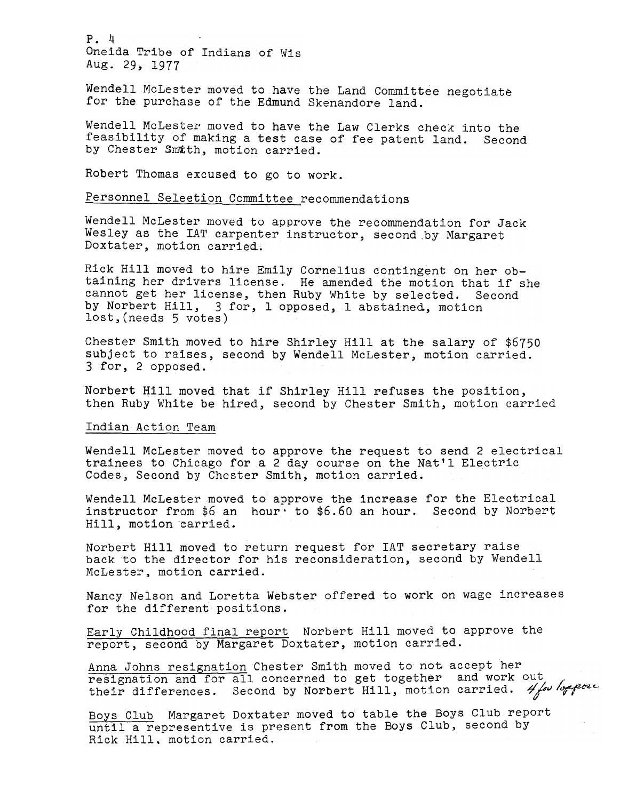P. 4 Oneida Tribe of Indians of Wis 29, 1977

Wendell McLester moved to have the Land Committee negotiate for the purchase of the Edmund Skenandore land.

Wendell McLester moved to have the Law Clerks check into the feasibility of making a test case of fee patent land. Second by Chester Smith, motion carried.

Robert Thomas excused to go to work.

Personnel Seleetion Committee recommendations

Wendell McLester moved to approve the recommendation for Jack Wesley as the IAT carpenter instructor, second by Margaret Doxtater, motion carried.

Rick Hill moved to hire Emily Cornelius contingent on her obtaining her drivers license. He amended the motion that if she cannot get her license, then Ruby White by selected. Secon by Norbert Hill, 3 for, I opposed, I abstained, motion lost,(needs 5 votes)

Chester Smith moved to hire Shirley Hill at the salary of \$6750 subject to raises, second by Wendell McLester, motion carried. 3 for, 2 opposed.

Norbert Hill moved that if Shirley Hill refuses the position, then Ruby White be hired, second by Chester Smith, motion carried

## Indian Action Team

Wendell McLester moved to approve the request to send 2 electrical trainees to Chicago for a 2 day course on the Nat'l Electric Codes, Second by Chester Smith, motion carried.

Wendell McLester moved to approve the increase for the Electrical instructor from \$6 an hour' to \$6.60 an hour. Second by Norbert Hill, motion carried.

Norbert Hill moved to return request for IAT secretary raise back to the director for his reconsideration, second by Wendell McLester, motion carried.

Nancy Nelson and Loretta Webster offered to work on wage increases for the different positions.

Early Childhood final report Norbert Hill moved to approve the report, second by Margaret Doxtater, motion carried.

Anna Johns resignation Chester Smith moved to not accept her resignation and for all concerned to get together and work out. their differences. Second by Norbert Hill, motion carried.  $4/60$  bepose

Boys Club Margaret Doxtater moved to table the Boys Club report until a representive is present from the Boys Club, second by Rick Hill. motion carried.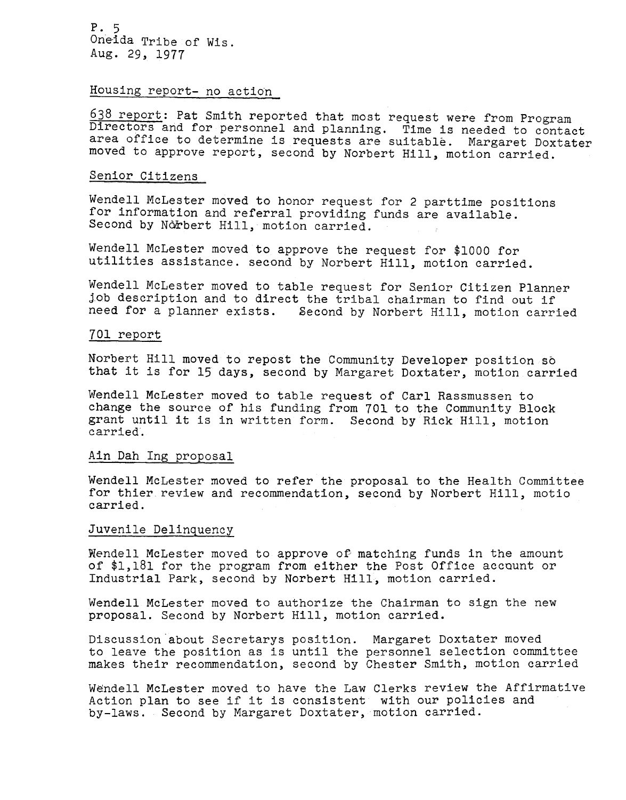P.5 Oneida Tribe of Wis. Aug. 29, 1977

Housing report- no action

638 report: Pat Smith reported that most request were from Program Directors and for personnel and planning. Time is needed to contact area office to determine is requests are suitable. Margaret Doxtater moved to approve report, second by Norbert Hill, motion carried.

## Senior Citizens

Wendell McLester moved to honor request for 2 parttime positions for information and referral providing funds are available. Second by Norbert Hill, motion carried.

Wendell McLester moved to approve the request for \$1000 for utilities assistance. second by Norbert Hill, motion carried.

Wendell McLester moved to table request for Senior Citizen Planner job description and to direct the tribal chairman to find out if need for a planner exists. Second by Norbert Hill, motion carried

## 701 report

Norbert Hill moved to repost the Community Developer position so that it is for 15 days, second by Margaret Doxtater, motion carried

Wendell McLester moved to table request of Carl Rassmussen to change the source of his funding from 701 to the Community Block grant until it is in written form. Second by Rick Hill, motion carried.

## Ain Dah Ing proposal

Wendell McLester moved to refer the proposal to the Health Committee for thier review and recommendation, second by Norbert Hill, motio carried.

## Juvenile Delinquency

McLester moved to approve oP matching funds in the amount of \$1,181 for the program from either the Post Office account or Industrial Park, second by Norbert Hill, motion carried.

Wendell McLester moved to authorize the Chairman to sign the new proposal. Second by Norbert Hill, motion carried.

Discussion about Secretarys position. Margaret Doxtater moved to leave the position as is until the personnel selection committee makes their recommendation, second by Chester Smith, motion carried

Wendell McLester moved to have the Law Clerks review the Affirmative Action plan to see if it is consistent with our policies and by-laws. Second by Margaret Doxtater, motion carried.